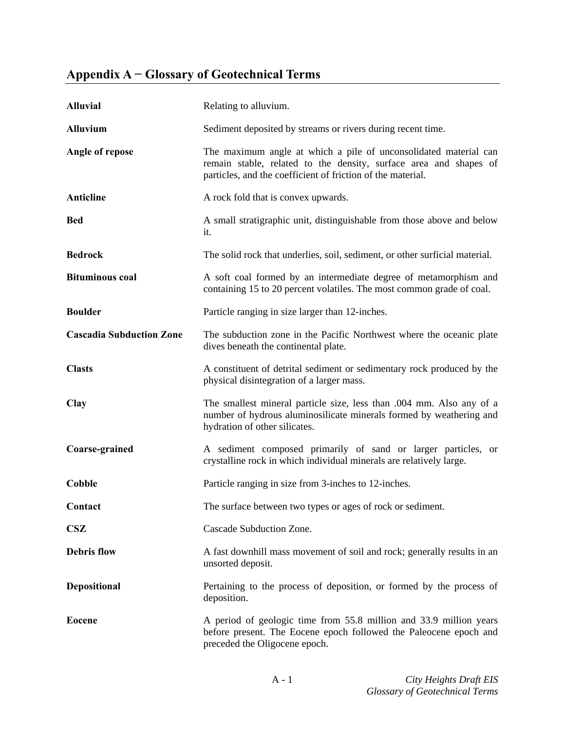## **Appendix A − Glossary of Geotechnical Terms**

| <b>Alluvial</b>                 | Relating to alluvium.                                                                                                                                                                                |
|---------------------------------|------------------------------------------------------------------------------------------------------------------------------------------------------------------------------------------------------|
| <b>Alluvium</b>                 | Sediment deposited by streams or rivers during recent time.                                                                                                                                          |
| Angle of repose                 | The maximum angle at which a pile of unconsolidated material can<br>remain stable, related to the density, surface area and shapes of<br>particles, and the coefficient of friction of the material. |
| Anticline                       | A rock fold that is convex upwards.                                                                                                                                                                  |
| <b>Bed</b>                      | A small stratigraphic unit, distinguishable from those above and below<br>it.                                                                                                                        |
| <b>Bedrock</b>                  | The solid rock that underlies, soil, sediment, or other surficial material.                                                                                                                          |
| <b>Bituminous coal</b>          | A soft coal formed by an intermediate degree of metamorphism and<br>containing 15 to 20 percent volatiles. The most common grade of coal.                                                            |
| <b>Boulder</b>                  | Particle ranging in size larger than 12-inches.                                                                                                                                                      |
| <b>Cascadia Subduction Zone</b> | The subduction zone in the Pacific Northwest where the oceanic plate<br>dives beneath the continental plate.                                                                                         |
| <b>Clasts</b>                   | A constituent of detrital sediment or sedimentary rock produced by the<br>physical disintegration of a larger mass.                                                                                  |
| <b>Clay</b>                     | The smallest mineral particle size, less than .004 mm. Also any of a<br>number of hydrous aluminosilicate minerals formed by weathering and<br>hydration of other silicates.                         |
| Coarse-grained                  | A sediment composed primarily of sand or larger particles, or<br>crystalline rock in which individual minerals are relatively large.                                                                 |
| <b>Cobble</b>                   | Particle ranging in size from 3-inches to 12-inches.                                                                                                                                                 |
| Contact                         | The surface between two types or ages of rock or sediment.                                                                                                                                           |
| <b>CSZ</b>                      | Cascade Subduction Zone.                                                                                                                                                                             |
| <b>Debris flow</b>              | A fast downhill mass movement of soil and rock; generally results in an<br>unsorted deposit.                                                                                                         |
| <b>Depositional</b>             | Pertaining to the process of deposition, or formed by the process of<br>deposition.                                                                                                                  |
| <b>Eocene</b>                   | A period of geologic time from 55.8 million and 33.9 million years<br>before present. The Eocene epoch followed the Paleocene epoch and<br>preceded the Oligocene epoch.                             |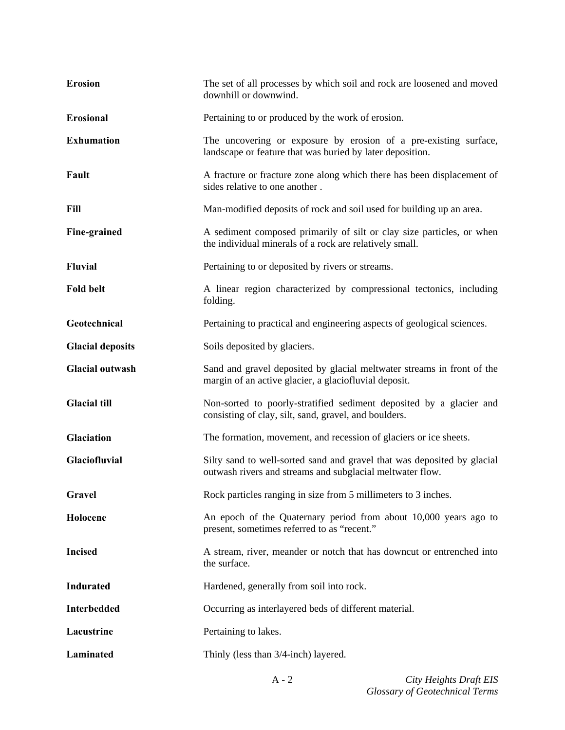| <b>Erosion</b>          | The set of all processes by which soil and rock are loosened and moved<br>downhill or downwind.                                      |
|-------------------------|--------------------------------------------------------------------------------------------------------------------------------------|
| <b>Erosional</b>        | Pertaining to or produced by the work of erosion.                                                                                    |
| <b>Exhumation</b>       | The uncovering or exposure by erosion of a pre-existing surface,<br>landscape or feature that was buried by later deposition.        |
| Fault                   | A fracture or fracture zone along which there has been displacement of<br>sides relative to one another.                             |
| Fill                    | Man-modified deposits of rock and soil used for building up an area.                                                                 |
| Fine-grained            | A sediment composed primarily of silt or clay size particles, or when<br>the individual minerals of a rock are relatively small.     |
| <b>Fluvial</b>          | Pertaining to or deposited by rivers or streams.                                                                                     |
| <b>Fold belt</b>        | A linear region characterized by compressional tectonics, including<br>folding.                                                      |
| Geotechnical            | Pertaining to practical and engineering aspects of geological sciences.                                                              |
| <b>Glacial deposits</b> | Soils deposited by glaciers.                                                                                                         |
| <b>Glacial outwash</b>  | Sand and gravel deposited by glacial meltwater streams in front of the<br>margin of an active glacier, a glaciofluvial deposit.      |
| <b>Glacial till</b>     | Non-sorted to poorly-stratified sediment deposited by a glacier and<br>consisting of clay, silt, sand, gravel, and boulders.         |
| Glaciation              | The formation, movement, and recession of glaciers or ice sheets.                                                                    |
| Glaciofluvial           | Silty sand to well-sorted sand and gravel that was deposited by glacial<br>outwash rivers and streams and subglacial meltwater flow. |
| Gravel                  | Rock particles ranging in size from 5 millimeters to 3 inches.                                                                       |
| Holocene                | An epoch of the Quaternary period from about 10,000 years ago to<br>present, sometimes referred to as "recent."                      |
| <b>Incised</b>          | A stream, river, meander or notch that has downcut or entrenched into<br>the surface.                                                |
| <b>Indurated</b>        | Hardened, generally from soil into rock.                                                                                             |
| <b>Interbedded</b>      | Occurring as interlayered beds of different material.                                                                                |
| Lacustrine              | Pertaining to lakes.                                                                                                                 |
| Laminated               | Thinly (less than 3/4-inch) layered.                                                                                                 |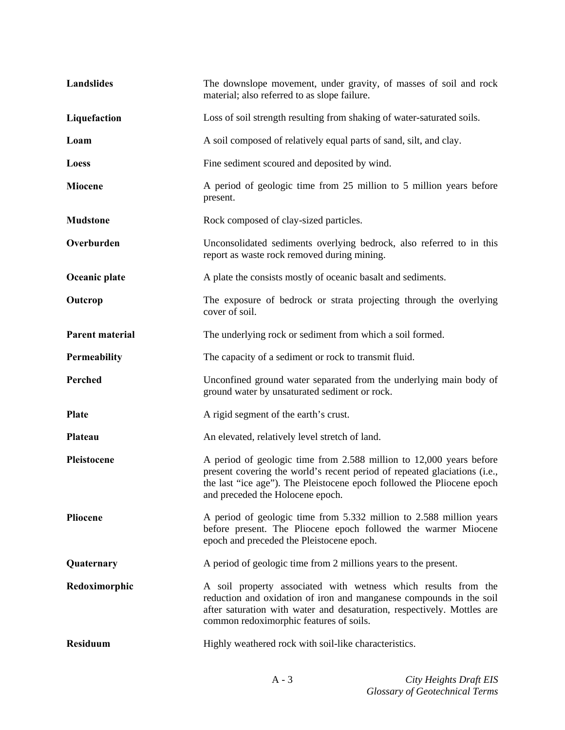| Landslides             | The downslope movement, under gravity, of masses of soil and rock<br>material; also referred to as slope failure.                                                                                                                                              |
|------------------------|----------------------------------------------------------------------------------------------------------------------------------------------------------------------------------------------------------------------------------------------------------------|
| Liquefaction           | Loss of soil strength resulting from shaking of water-saturated soils.                                                                                                                                                                                         |
| Loam                   | A soil composed of relatively equal parts of sand, silt, and clay.                                                                                                                                                                                             |
| Loess                  | Fine sediment scoured and deposited by wind.                                                                                                                                                                                                                   |
| <b>Miocene</b>         | A period of geologic time from 25 million to 5 million years before<br>present.                                                                                                                                                                                |
| <b>Mudstone</b>        | Rock composed of clay-sized particles.                                                                                                                                                                                                                         |
| Overburden             | Unconsolidated sediments overlying bedrock, also referred to in this<br>report as waste rock removed during mining.                                                                                                                                            |
| Oceanic plate          | A plate the consists mostly of oceanic basalt and sediments.                                                                                                                                                                                                   |
| Outcrop                | The exposure of bedrock or strata projecting through the overlying<br>cover of soil.                                                                                                                                                                           |
| <b>Parent material</b> | The underlying rock or sediment from which a soil formed.                                                                                                                                                                                                      |
| Permeability           | The capacity of a sediment or rock to transmit fluid.                                                                                                                                                                                                          |
| Perched                | Unconfined ground water separated from the underlying main body of<br>ground water by unsaturated sediment or rock.                                                                                                                                            |
| <b>Plate</b>           | A rigid segment of the earth's crust.                                                                                                                                                                                                                          |
| Plateau                | An elevated, relatively level stretch of land.                                                                                                                                                                                                                 |
| Pleistocene            | A period of geologic time from 2.588 million to 12,000 years before<br>present covering the world's recent period of repeated glaciations (i.e.,<br>the last "ice age"). The Pleistocene epoch followed the Pliocene epoch<br>and preceded the Holocene epoch. |
| Pliocene               | A period of geologic time from 5.332 million to 2.588 million years<br>before present. The Pliocene epoch followed the warmer Miocene<br>epoch and preceded the Pleistocene epoch.                                                                             |
| Quaternary             | A period of geologic time from 2 millions years to the present.                                                                                                                                                                                                |
| Redoximorphic          | A soil property associated with wetness which results from the<br>reduction and oxidation of iron and manganese compounds in the soil<br>after saturation with water and desaturation, respectively. Mottles are<br>common redoximorphic features of soils.    |
| <b>Residuum</b>        | Highly weathered rock with soil-like characteristics.                                                                                                                                                                                                          |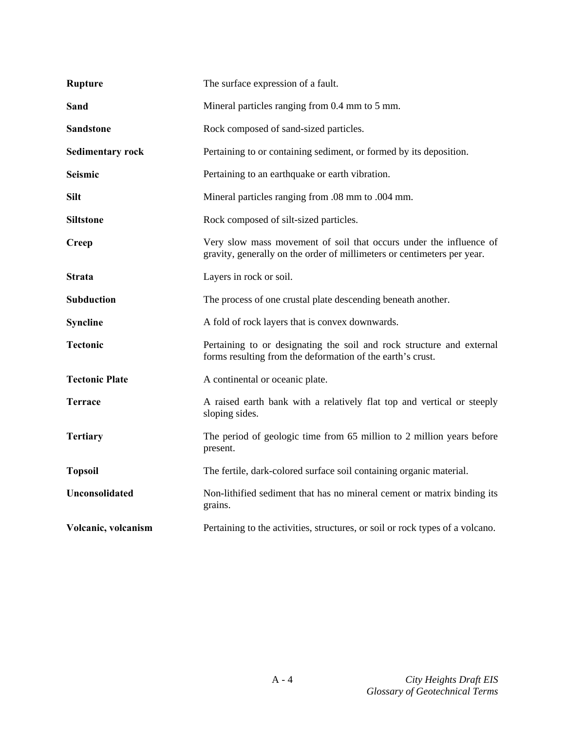| <b>Rupture</b>          | The surface expression of a fault.                                                                                                            |
|-------------------------|-----------------------------------------------------------------------------------------------------------------------------------------------|
| <b>Sand</b>             | Mineral particles ranging from 0.4 mm to 5 mm.                                                                                                |
| <b>Sandstone</b>        | Rock composed of sand-sized particles.                                                                                                        |
| <b>Sedimentary rock</b> | Pertaining to or containing sediment, or formed by its deposition.                                                                            |
| <b>Seismic</b>          | Pertaining to an earthquake or earth vibration.                                                                                               |
| <b>Silt</b>             | Mineral particles ranging from .08 mm to .004 mm.                                                                                             |
| <b>Siltstone</b>        | Rock composed of silt-sized particles.                                                                                                        |
| <b>Creep</b>            | Very slow mass movement of soil that occurs under the influence of<br>gravity, generally on the order of millimeters or centimeters per year. |
| <b>Strata</b>           | Layers in rock or soil.                                                                                                                       |
| Subduction              | The process of one crustal plate descending beneath another.                                                                                  |
| <b>Syncline</b>         | A fold of rock layers that is convex downwards.                                                                                               |
| <b>Tectonic</b>         | Pertaining to or designating the soil and rock structure and external<br>forms resulting from the deformation of the earth's crust.           |
| <b>Tectonic Plate</b>   | A continental or oceanic plate.                                                                                                               |
| <b>Terrace</b>          | A raised earth bank with a relatively flat top and vertical or steeply<br>sloping sides.                                                      |
| <b>Tertiary</b>         | The period of geologic time from 65 million to 2 million years before<br>present.                                                             |
| <b>Topsoil</b>          | The fertile, dark-colored surface soil containing organic material.                                                                           |
| <b>Unconsolidated</b>   | Non-lithified sediment that has no mineral cement or matrix binding its<br>grains.                                                            |
| Volcanic, volcanism     | Pertaining to the activities, structures, or soil or rock types of a volcano.                                                                 |